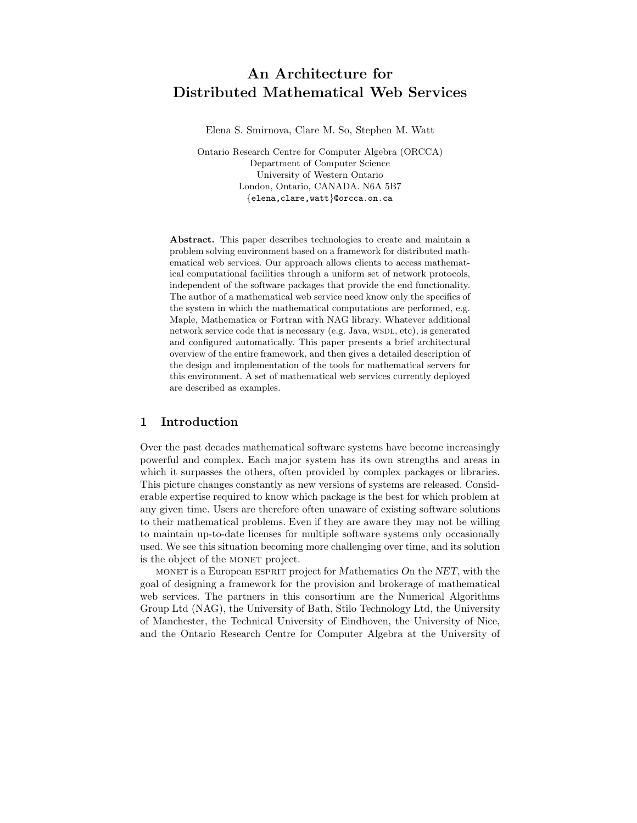# **An Architecture for Distributed Mathematical Web Services**

Elena S. Smirnova, Clare M. So, Stephen M. Watt

Ontario Research Centre for Computer Algebra (ORCCA) Department of Computer Science University of Western Ontario London, Ontario, CANADA. N6A 5B7 *{*elena,clare,watt*}*@orcca.on.ca

**Abstract.** This paper describes technologies to create and maintain a problem solving environment based on a framework for distributed mathematical web services. Our approach allows clients to access mathematical computational facilities through a uniform set of network protocols, independent of the software packages that provide the end functionality. The author of a mathematical web service need know only the specifics of the system in which the mathematical computations are performed, e.g. Maple, Mathematica or Fortran with NAG library. Whatever additional network service code that is necessary (e.g. Java, WSDL, etc), is generated and configured automatically. This paper presents a brief architectural overview of the entire framework, and then gives a detailed description of the design and implementation of the tools for mathematical servers for this environment. A set of mathematical web services currently deployed are described as examples.

## **1 Introduction**

Over the past decades mathematical software systems have become increasingly powerful and complex. Each major system has its own strengths and areas in which it surpasses the others, often provided by complex packages or libraries. This picture changes constantly as new versions of systems are released. Considerable expertise required to know which package is the best for which problem at any given time. Users are therefore often unaware of existing software solutions to their mathematical problems. Even if they are aware they may not be willing to maintain up-to-date licenses for multiple software systems only occasionally used. We see this situation becoming more challenging over time, and its solution is the object of the monet project.

monet is a European esprit project for *M*athematics *O*n the *NET*, with the goal of designing a framework for the provision and brokerage of mathematical web services. The partners in this consortium are the Numerical Algorithms Group Ltd (NAG), the University of Bath, Stilo Technology Ltd, the University of Manchester, the Technical University of Eindhoven, the University of Nice, and the Ontario Research Centre for Computer Algebra at the University of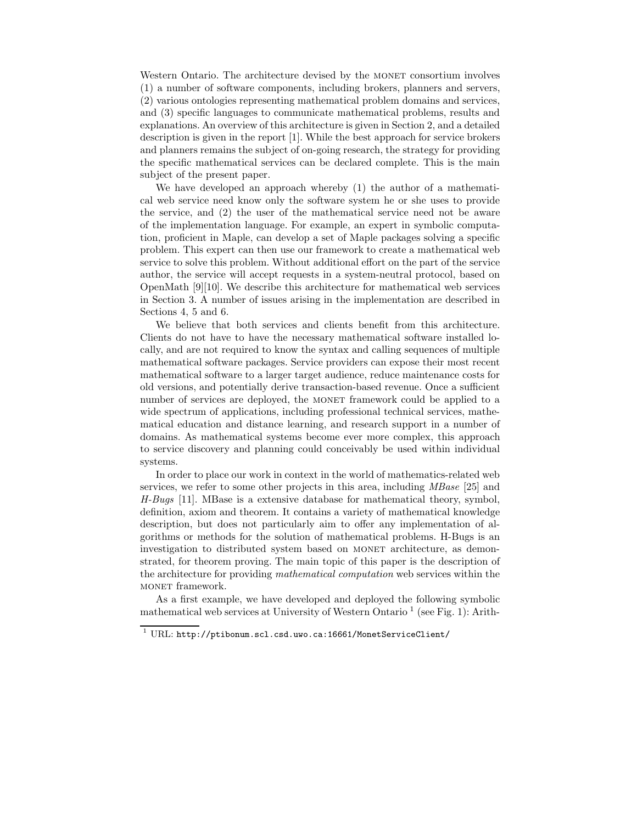Western Ontario. The architecture devised by the MONET consortium involves (1) a number of software components, including brokers, planners and servers, (2) various ontologies representing mathematical problem domains and services, and (3) specific languages to communicate mathematical problems, results and explanations. An overview of this architecture is given in Section 2, and a detailed description is given in the report [1]. While the best approach for service brokers and planners remains the subject of on-going research, the strategy for providing the specific mathematical services can be declared complete. This is the main subject of the present paper.

We have developed an approach whereby (1) the author of a mathematical web service need know only the software system he or she uses to provide the service, and (2) the user of the mathematical service need not be aware of the implementation language. For example, an expert in symbolic computation, proficient in Maple, can develop a set of Maple packages solving a specific problem. This expert can then use our framework to create a mathematical web service to solve this problem. Without additional effort on the part of the service author, the service will accept requests in a system-neutral protocol, based on OpenMath [9][10]. We describe this architecture for mathematical web services in Section 3. A number of issues arising in the implementation are described in Sections 4, 5 and 6.

We believe that both services and clients benefit from this architecture. Clients do not have to have the necessary mathematical software installed locally, and are not required to know the syntax and calling sequences of multiple mathematical software packages. Service providers can expose their most recent mathematical software to a larger target audience, reduce maintenance costs for old versions, and potentially derive transaction-based revenue. Once a sufficient number of services are deployed, the MONET framework could be applied to a wide spectrum of applications, including professional technical services, mathematical education and distance learning, and research support in a number of domains. As mathematical systems become ever more complex, this approach to service discovery and planning could conceivably be used within individual systems.

In order to place our work in context in the world of mathematics-related web services, we refer to some other projects in this area, including *MBase* [25] and *H-Bugs* [11]. MBase is a extensive database for mathematical theory, symbol, definition, axiom and theorem. It contains a variety of mathematical knowledge description, but does not particularly aim to offer any implementation of algorithms or methods for the solution of mathematical problems. H-Bugs is an investigation to distributed system based on MONET architecture, as demonstrated, for theorem proving. The main topic of this paper is the description of the architecture for providing *mathematical computation* web services within the MONET framework.

As a first example, we have developed and deployed the following symbolic mathematical web services at University of Western Ontario  $^1$  (see Fig. 1): Arith-

 $1 \text{ URL: http://ptibonum.scl.csd.uwo.ca:16661/MonetServiceClient/}$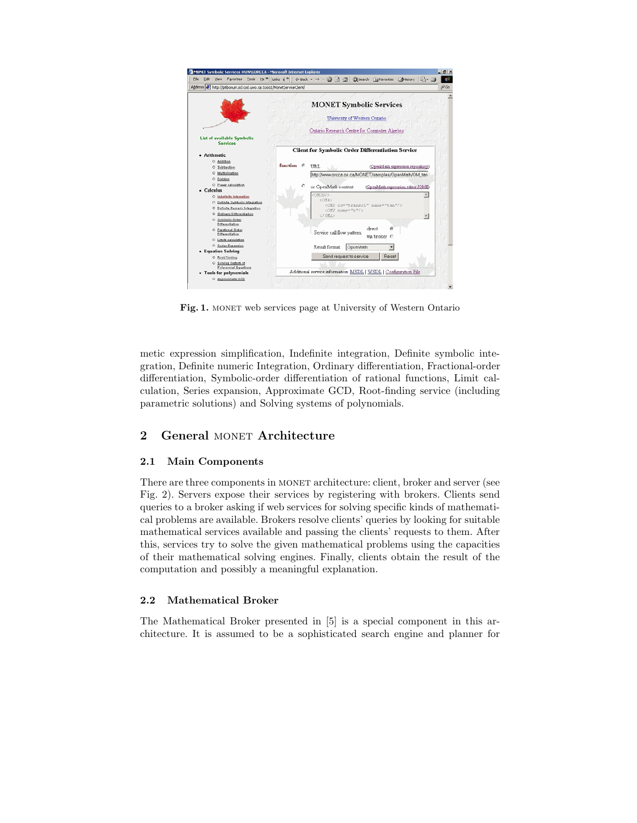

Fig. 1. MONET web services page at University of Western Ontario

metic expression simplification, Indefinite integration, Definite symbolic integration, Definite numeric Integration, Ordinary differentiation, Fractional-order differentiation, Symbolic-order differentiation of rational functions, Limit calculation, Series expansion, Approximate GCD, Root-finding service (including parametric solutions) and Solving systems of polynomials.

# **2** General MONET Architecture

## **2.1 Main Components**

There are three components in MONET architecture: client, broker and server (see Fig. 2). Servers expose their services by registering with brokers. Clients send queries to a broker asking if web services for solving specific kinds of mathematical problems are available. Brokers resolve clients' queries by looking for suitable mathematical services available and passing the clients' requests to them. After this, services try to solve the given mathematical problems using the capacities of their mathematical solving engines. Finally, clients obtain the result of the computation and possibly a meaningful explanation.

### **2.2 Mathematical Broker**

The Mathematical Broker presented in [5] is a special component in this architecture. It is assumed to be a sophisticated search engine and planner for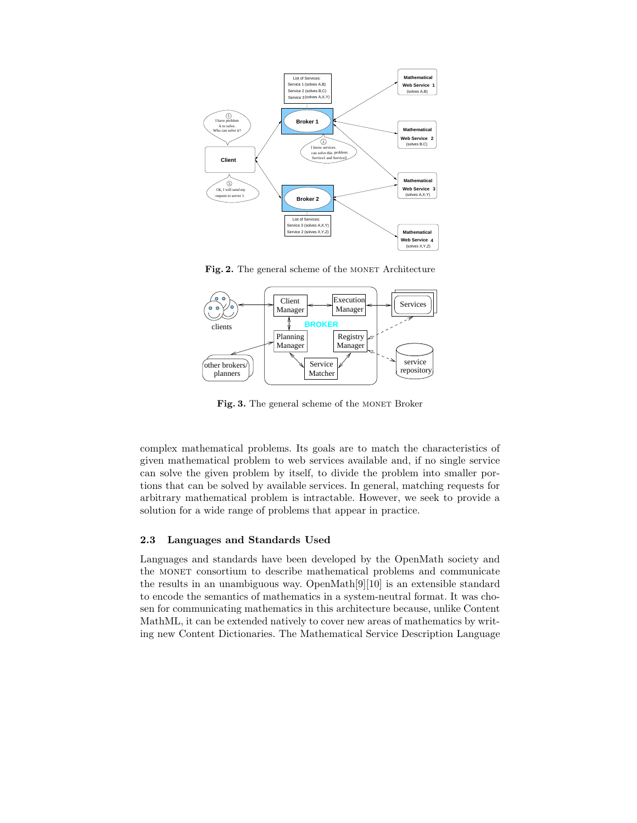

Fig. 2. The general scheme of the MONET Architecture



Fig. 3. The general scheme of the MONET Broker

complex mathematical problems. Its goals are to match the characteristics of given mathematical problem to web services available and, if no single service can solve the given problem by itself, to divide the problem into smaller portions that can be solved by available services. In general, matching requests for arbitrary mathematical problem is intractable. However, we seek to provide a solution for a wide range of problems that appear in practice.

#### **2.3 Languages and Standards Used**

Languages and standards have been developed by the OpenMath society and the MONET consortium to describe mathematical problems and communicate the results in an unambiguous way. OpenMath[9][10] is an extensible standard to encode the semantics of mathematics in a system-neutral format. It was chosen for communicating mathematics in this architecture because, unlike Content MathML, it can be extended natively to cover new areas of mathematics by writing new Content Dictionaries. The Mathematical Service Description Language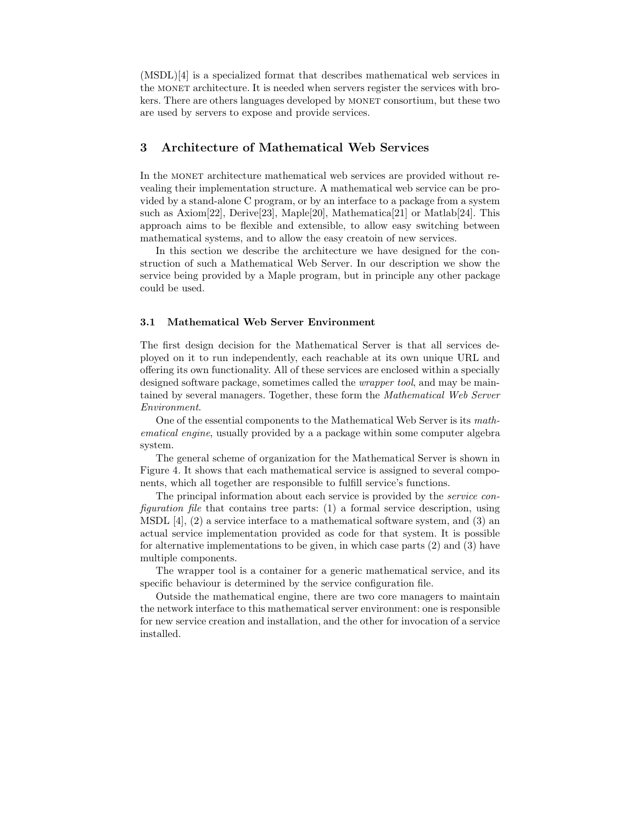(MSDL)[4] is a specialized format that describes mathematical web services in the MONET architecture. It is needed when servers register the services with brokers. There are others languages developed by MONET consortium, but these two are used by servers to expose and provide services.

## **3 Architecture of Mathematical Web Services**

In the MONET architecture mathematical web services are provided without revealing their implementation structure. A mathematical web service can be provided by a stand-alone C program, or by an interface to a package from a system such as Axiom[22], Derive[23], Maple[20], Mathematica[21] or Matlab[24]. This approach aims to be flexible and extensible, to allow easy switching between mathematical systems, and to allow the easy creatoin of new services.

In this section we describe the architecture we have designed for the construction of such a Mathematical Web Server. In our description we show the service being provided by a Maple program, but in principle any other package could be used.

#### **3.1 Mathematical Web Server Environment**

The first design decision for the Mathematical Server is that all services deployed on it to run independently, each reachable at its own unique URL and offering its own functionality. All of these services are enclosed within a specially designed software package, sometimes called the *wrapper tool*, and may be maintained by several managers. Together, these form the *Mathematical Web Server Environment*.

One of the essential components to the Mathematical Web Server is its *mathematical engine*, usually provided by a a package within some computer algebra system.

The general scheme of organization for the Mathematical Server is shown in Figure 4. It shows that each mathematical service is assigned to several components, which all together are responsible to fulfill service's functions.

The principal information about each service is provided by the *service configuration file* that contains tree parts: (1) a formal service description, using MSDL  $[4]$ ,  $(2)$  a service interface to a mathematical software system, and  $(3)$  and actual service implementation provided as code for that system. It is possible for alternative implementations to be given, in which case parts (2) and (3) have multiple components.

The wrapper tool is a container for a generic mathematical service, and its specific behaviour is determined by the service configuration file.

Outside the mathematical engine, there are two core managers to maintain the network interface to this mathematical server environment: one is responsible for new service creation and installation, and the other for invocation of a service installed.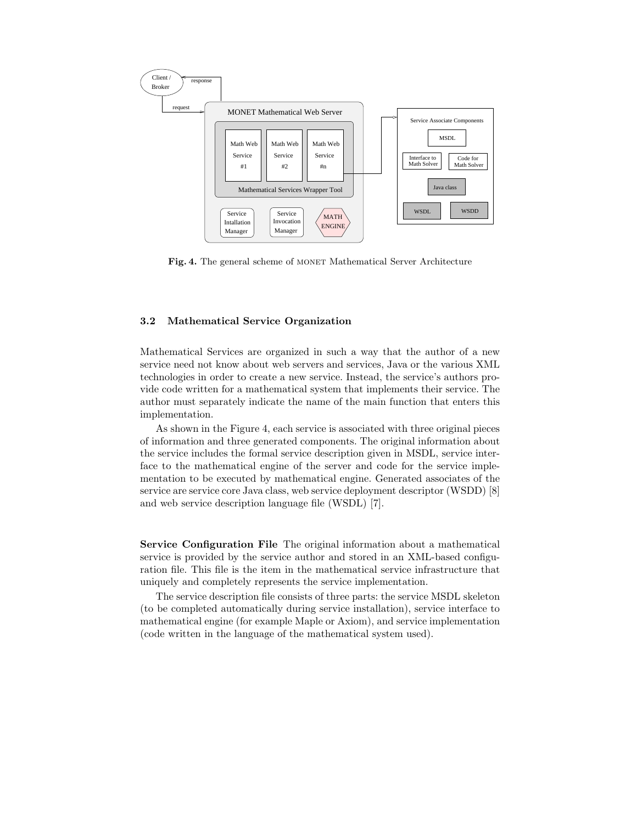

Fig. 4. The general scheme of MONET Mathematical Server Architecture

#### **3.2 Mathematical Service Organization**

Mathematical Services are organized in such a way that the author of a new service need not know about web servers and services, Java or the various XML technologies in order to create a new service. Instead, the service's authors provide code written for a mathematical system that implements their service. The author must separately indicate the name of the main function that enters this implementation.

As shown in the Figure 4, each service is associated with three original pieces of information and three generated components. The original information about the service includes the formal service description given in MSDL, service interface to the mathematical engine of the server and code for the service implementation to be executed by mathematical engine. Generated associates of the service are service core Java class, web service deployment descriptor (WSDD) [8] and web service description language file (WSDL) [7].

**Service Configuration File** The original information about a mathematical service is provided by the service author and stored in an XML-based configuration file. This file is the item in the mathematical service infrastructure that uniquely and completely represents the service implementation.

The service description file consists of three parts: the service MSDL skeleton (to be completed automatically during service installation), service interface to mathematical engine (for example Maple or Axiom), and service implementation (code written in the language of the mathematical system used).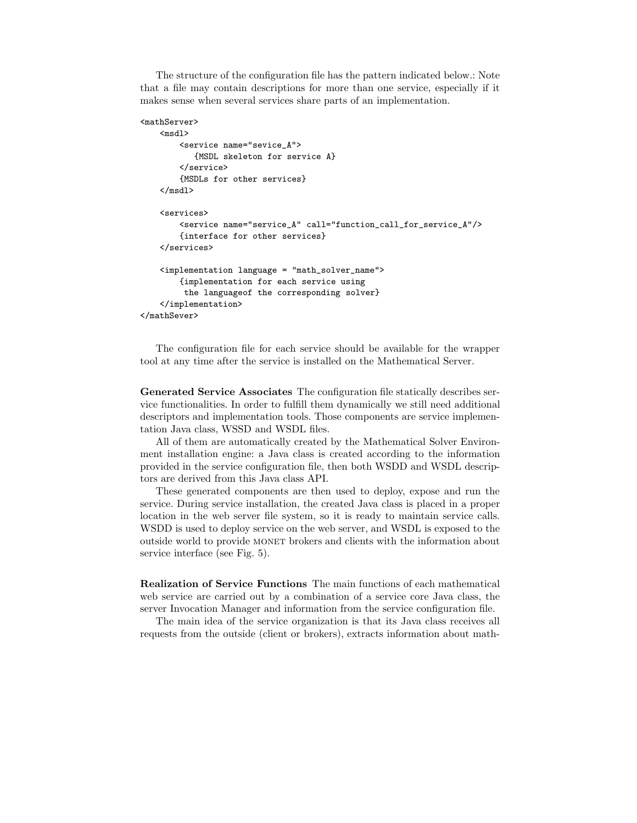The structure of the configuration file has the pattern indicated below.: Note that a file may contain descriptions for more than one service, especially if it makes sense when several services share parts of an implementation.

```
<mathServer>
    <msdl>
        <service name="sevice_A">
           {MSDL skeleton for service A}
        </service>
        {MSDLs for other services}
    </msdl>
    <services>
        <service name="service_A" call="function_call_for_service_A"/>
        {interface for other services}
    </services>
    <implementation language = "math_solver_name">
        {implementation for each service using
         the languageof the corresponding solver}
    </implementation>
</mathSever>
```
The configuration file for each service should be available for the wrapper tool at any time after the service is installed on the Mathematical Server.

**Generated Service Associates** The configuration file statically describes service functionalities. In order to fulfill them dynamically we still need additional descriptors and implementation tools. Those components are service implementation Java class, WSSD and WSDL files.

All of them are automatically created by the Mathematical Solver Environment installation engine: a Java class is created according to the information provided in the service configuration file, then both WSDD and WSDL descriptors are derived from this Java class API.

These generated components are then used to deploy, expose and run the service. During service installation, the created Java class is placed in a proper location in the web server file system, so it is ready to maintain service calls. WSDD is used to deploy service on the web server, and WSDL is exposed to the outside world to provide monet brokers and clients with the information about service interface (see Fig. 5).

**Realization of Service Functions** The main functions of each mathematical web service are carried out by a combination of a service core Java class, the server Invocation Manager and information from the service configuration file.

The main idea of the service organization is that its Java class receives all requests from the outside (client or brokers), extracts information about math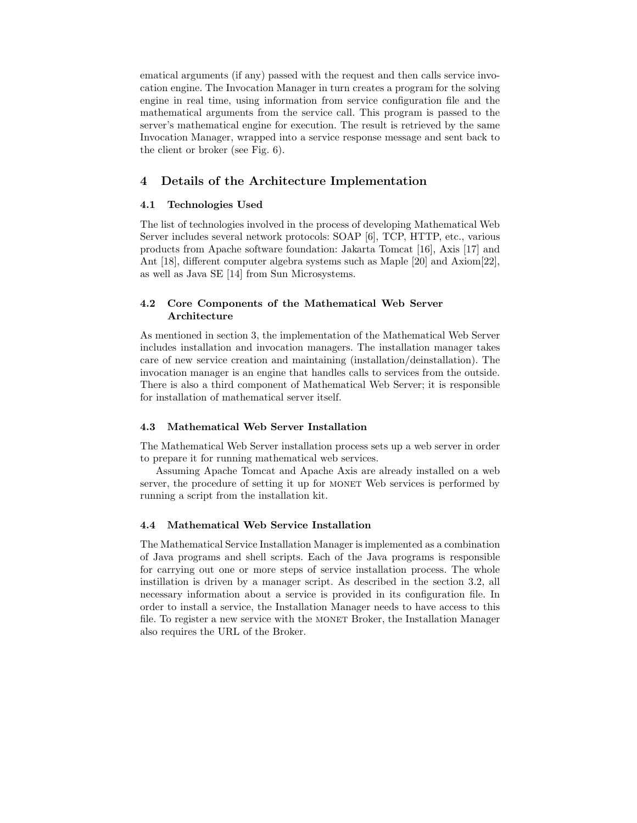ematical arguments (if any) passed with the request and then calls service invocation engine. The Invocation Manager in turn creates a program for the solving engine in real time, using information from service configuration file and the mathematical arguments from the service call. This program is passed to the server's mathematical engine for execution. The result is retrieved by the same Invocation Manager, wrapped into a service response message and sent back to the client or broker (see Fig. 6).

## **4 Details of the Architecture Implementation**

#### **4.1 Technologies Used**

The list of technologies involved in the process of developing Mathematical Web Server includes several network protocols: SOAP [6], TCP, HTTP, etc., various products from Apache software foundation: Jakarta Tomcat [16], Axis [17] and Ant [18], different computer algebra systems such as Maple [20] and Axiom[22], as well as Java SE [14] from Sun Microsystems.

## **4.2 Core Components of the Mathematical Web Server Architecture**

As mentioned in section 3, the implementation of the Mathematical Web Server includes installation and invocation managers. The installation manager takes care of new service creation and maintaining (installation/deinstallation). The invocation manager is an engine that handles calls to services from the outside. There is also a third component of Mathematical Web Server; it is responsible for installation of mathematical server itself.

### **4.3 Mathematical Web Server Installation**

The Mathematical Web Server installation process sets up a web server in order to prepare it for running mathematical web services.

Assuming Apache Tomcat and Apache Axis are already installed on a web server, the procedure of setting it up for MONET Web services is performed by running a script from the installation kit.

#### **4.4 Mathematical Web Service Installation**

The Mathematical Service Installation Manager is implemented as a combination of Java programs and shell scripts. Each of the Java programs is responsible for carrying out one or more steps of service installation process. The whole instillation is driven by a manager script. As described in the section 3.2, all necessary information about a service is provided in its configuration file. In order to install a service, the Installation Manager needs to have access to this file. To register a new service with the MONET Broker, the Installation Manager also requires the URL of the Broker.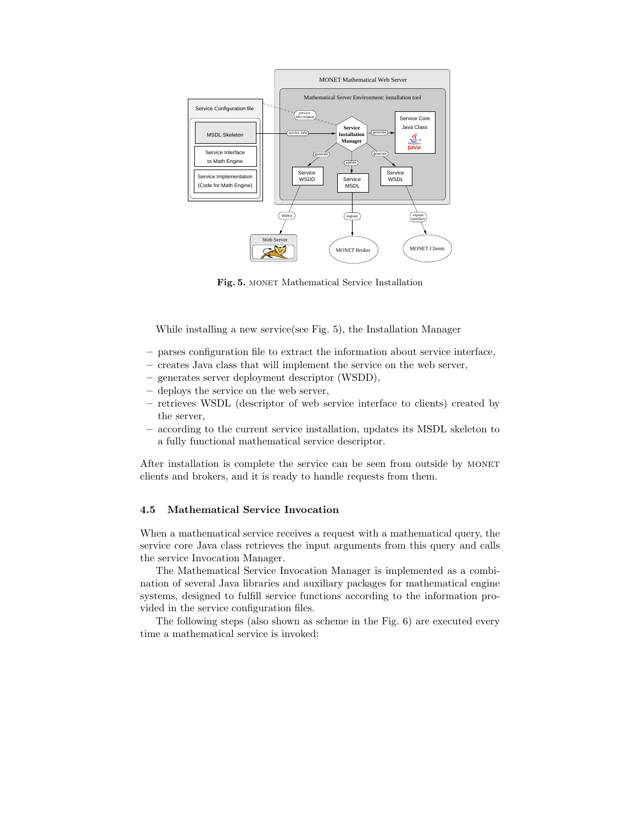

Fig. 5. MONET Mathematical Service Installation

While installing a new service(see Fig. 5), the Installation Manager

- **–** parses configuration file to extract the information about service interface,
- **–** creates Java class that will implement the service on the web server,
- **–** generates server deployment descriptor (WSDD),
- **–** deploys the service on the web server,
- **–** retrieves WSDL (descriptor of web service interface to clients) created by the server,
- **–** according to the current service installation, updates its MSDL skeleton to a fully functional mathematical service descriptor.

After installation is complete the service can be seen from outside by MONET clients and brokers, and it is ready to handle requests from them.

#### **4.5 Mathematical Service Invocation**

When a mathematical service receives a request with a mathematical query, the service core Java class retrieves the input arguments from this query and calls the service Invocation Manager.

The Mathematical Service Invocation Manager is implemented as a combination of several Java libraries and auxiliary packages for mathematical engine systems, designed to fulfill service functions according to the information provided in the service configuration files.

The following steps (also shown as scheme in the Fig. 6) are executed every time a mathematical service is invoked: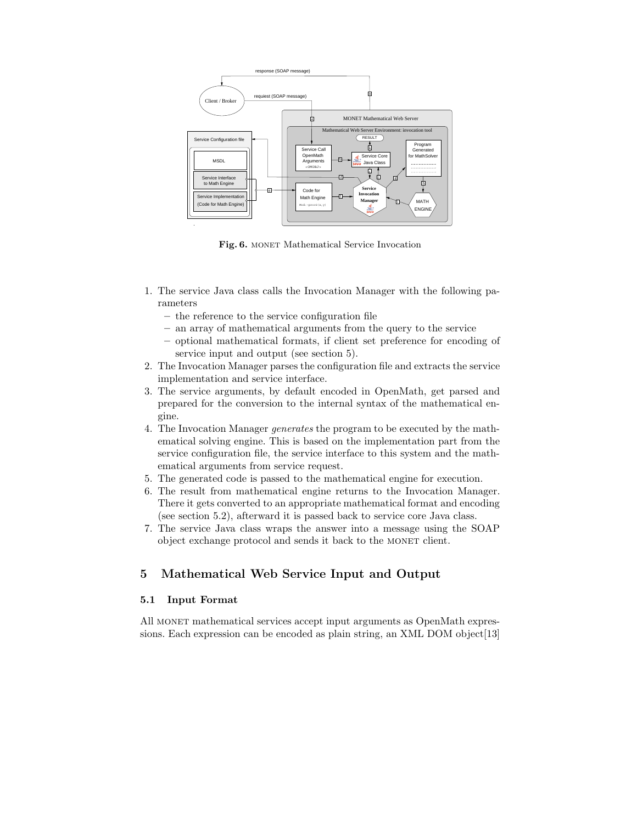

Fig. 6. MONET Mathematical Service Invocation

- 1. The service Java class calls the Invocation Manager with the following parameters
	- **–** the reference to the service configuration file
	- **–** an array of mathematical arguments from the query to the service
	- **–** optional mathematical formats, if client set preference for encoding of service input and output (see section 5).
- 2. The Invocation Manager parses the configuration file and extracts the service implementation and service interface.
- 3. The service arguments, by default encoded in OpenMath, get parsed and prepared for the conversion to the internal syntax of the mathematical engine.
- 4. The Invocation Manager *generates* the program to be executed by the mathematical solving engine. This is based on the implementation part from the service configuration file, the service interface to this system and the mathematical arguments from service request.
- 5. The generated code is passed to the mathematical engine for execution.
- 6. The result from mathematical engine returns to the Invocation Manager. There it gets converted to an appropriate mathematical format and encoding (see section 5.2), afterward it is passed back to service core Java class.
- 7. The service Java class wraps the answer into a message using the SOAP object exchange protocol and sends it back to the MONET client.

## **5 Mathematical Web Service Input and Output**

#### **5.1 Input Format**

All MONET mathematical services accept input arguments as OpenMath expressions. Each expression can be encoded as plain string, an XML DOM object<sup>[13]</sup>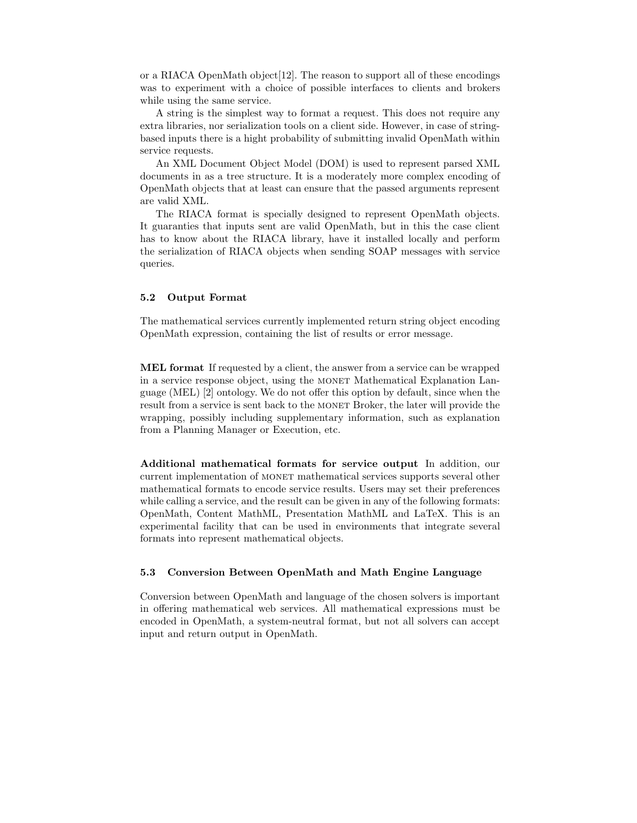or a RIACA OpenMath object[12]. The reason to support all of these encodings was to experiment with a choice of possible interfaces to clients and brokers while using the same service.

A string is the simplest way to format a request. This does not require any extra libraries, nor serialization tools on a client side. However, in case of stringbased inputs there is a hight probability of submitting invalid OpenMath within service requests.

An XML Document Object Model (DOM) is used to represent parsed XML documents in as a tree structure. It is a moderately more complex encoding of OpenMath objects that at least can ensure that the passed arguments represent are valid XML.

The RIACA format is specially designed to represent OpenMath objects. It guaranties that inputs sent are valid OpenMath, but in this the case client has to know about the RIACA library, have it installed locally and perform the serialization of RIACA objects when sending SOAP messages with service queries.

## **5.2 Output Format**

The mathematical services currently implemented return string object encoding OpenMath expression, containing the list of results or error message.

**MEL format** If requested by a client, the answer from a service can be wrapped in a service response object, using the monet Mathematical Explanation Language (MEL) [2] ontology. We do not offer this option by default, since when the result from a service is sent back to the MONET Broker, the later will provide the wrapping, possibly including supplementary information, such as explanation from a Planning Manager or Execution, etc.

**Additional mathematical formats for service output** In addition, our current implementation of monet mathematical services supports several other mathematical formats to encode service results. Users may set their preferences while calling a service, and the result can be given in any of the following formats: OpenMath, Content MathML, Presentation MathML and LaTeX. This is an experimental facility that can be used in environments that integrate several formats into represent mathematical objects.

#### **5.3 Conversion Between OpenMath and Math Engine Language**

Conversion between OpenMath and language of the chosen solvers is important in offering mathematical web services. All mathematical expressions must be encoded in OpenMath, a system-neutral format, but not all solvers can accept input and return output in OpenMath.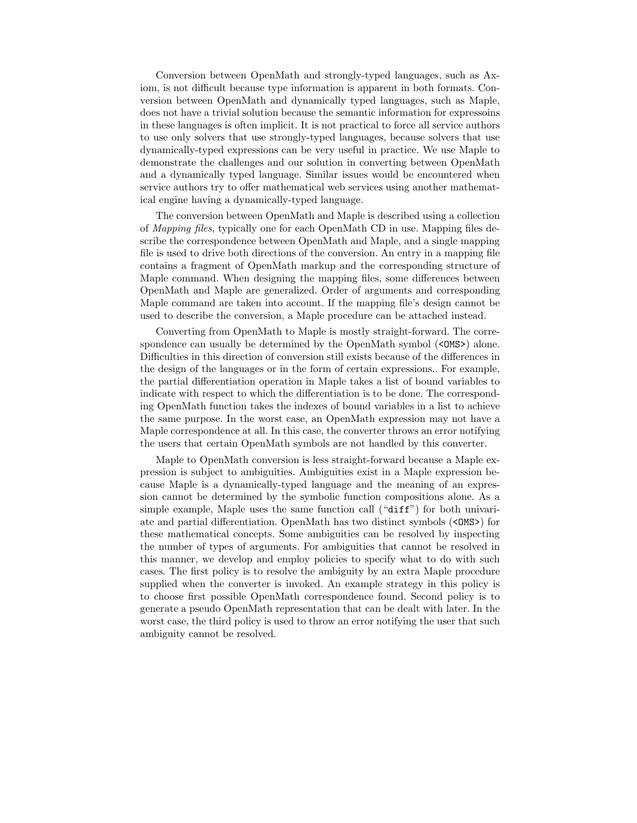Conversion between OpenMath and strongly-typed languages, such as Axiom, is not difficult because type information is apparent in both formats. Conversion between OpenMath and dynamically typed languages, such as Maple, does not have a trivial solution because the semantic information for expressoins in these languages is often implicit. It is not practical to force all service authors to use only solvers that use strongly-typed languages, because solvers that use dynamically-typed expressions can be very useful in practice. We use Maple to demonstrate the challenges and our solution in converting between OpenMath and a dynamically typed language. Similar issues would be encountered when service authors try to offer mathematical web services using another mathematical engine having a dynamically-typed language.

The conversion between OpenMath and Maple is described using a collection of *Mapping files*, typically one for each OpenMath CD in use. Mapping files describe the correspondence between OpenMath and Maple, and a single mapping file is used to drive both directions of the conversion. An entry in a mapping file contains a fragment of OpenMath markup and the corresponding structure of Maple command. When designing the mapping files, some differences between OpenMath and Maple are generalized. Order of arguments and corresponding Maple command are taken into account. If the mapping file's design cannot be used to describe the conversion, a Maple procedure can be attached instead.

Converting from OpenMath to Maple is mostly straight-forward. The correspondence can usually be determined by the OpenMath symbol  $\langle$ CMS>) alone. Difficulties in this direction of conversion still exists because of the differences in the design of the languages or in the form of certain expressions.. For example, the partial differentiation operation in Maple takes a list of bound variables to indicate with respect to which the differentiation is to be done. The corresponding OpenMath function takes the indexes of bound variables in a list to achieve the same purpose. In the worst case, an OpenMath expression may not have a Maple correspondence at all. In this case, the converter throws an error notifying the users that certain OpenMath symbols are not handled by this converter.

Maple to OpenMath conversion is less straight-forward because a Maple expression is subject to ambiguities. Ambiguities exist in a Maple expression because Maple is a dynamically-typed language and the meaning of an expression cannot be determined by the symbolic function compositions alone. As a simple example, Maple uses the same function call ("diff") for both univariate and partial differentiation. OpenMath has two distinct symbols (<OMS>) for these mathematical concepts. Some ambiguities can be resolved by inspecting the number of types of arguments. For ambiguities that cannot be resolved in this manner, we develop and employ policies to specify what to do with such cases. The first policy is to resolve the ambiguity by an extra Maple procedure supplied when the converter is invoked. An example strategy in this policy is to choose first possible OpenMath correspondence found. Second policy is to generate a pseudo OpenMath representation that can be dealt with later. In the worst case, the third policy is used to throw an error notifying the user that such ambiguity cannot be resolved.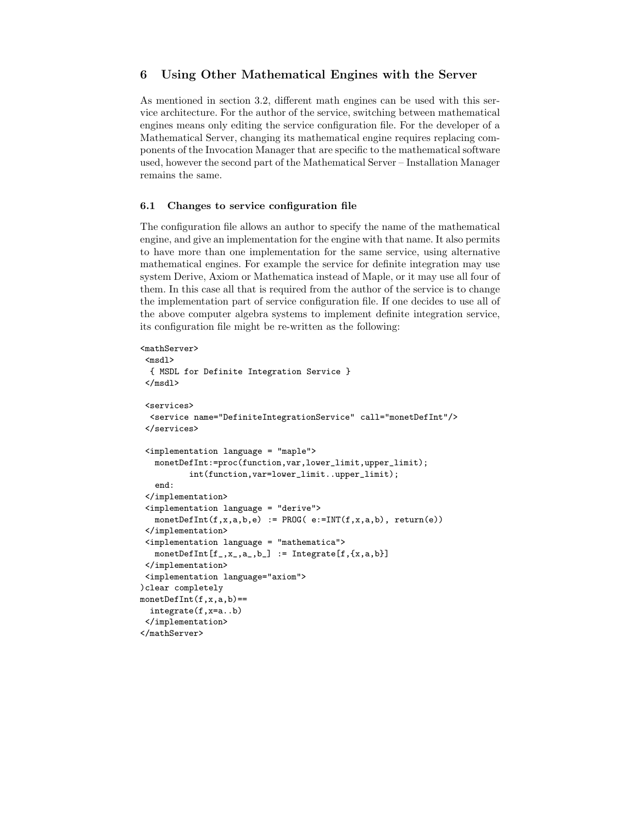## **6 Using Other Mathematical Engines with the Server**

As mentioned in section 3.2, different math engines can be used with this service architecture. For the author of the service, switching between mathematical engines means only editing the service configuration file. For the developer of a Mathematical Server, changing its mathematical engine requires replacing components of the Invocation Manager that are specific to the mathematical software used, however the second part of the Mathematical Server – Installation Manager remains the same.

#### **6.1 Changes to service configuration file**

The configuration file allows an author to specify the name of the mathematical engine, and give an implementation for the engine with that name. It also permits to have more than one implementation for the same service, using alternative mathematical engines. For example the service for definite integration may use system Derive, Axiom or Mathematica instead of Maple, or it may use all four of them. In this case all that is required from the author of the service is to change the implementation part of service configuration file. If one decides to use all of the above computer algebra systems to implement definite integration service, its configuration file might be re-written as the following:

```
<mathServer>
<msdl>
 { MSDL for Definite Integration Service }
</msdl>
<services>
 <service name="DefiniteIntegrationService" call="monetDefInt"/>
</services>
<implementation language = "maple">
  monetDefInt:=proc(function,var,lower_limit,upper_limit);
          int(function,var=lower_limit..upper_limit);
   end:
</implementation>
<implementation language = "derive">
  monetherInt(f,x,a,b,e) := PROG(e:=INT(f,x,a,b), return(e))</implementation>
<implementation language = "mathematica">
   monethefInt[f_-,x_-,a_-,b_-] := Integrate[f_-,x_-,a]</implementation>
<implementation language="axiom">
)clear completely
monetDefInt(f,x,a,b)==
  integrate(f,x=a..b)
</implementation>
</mathServer>
```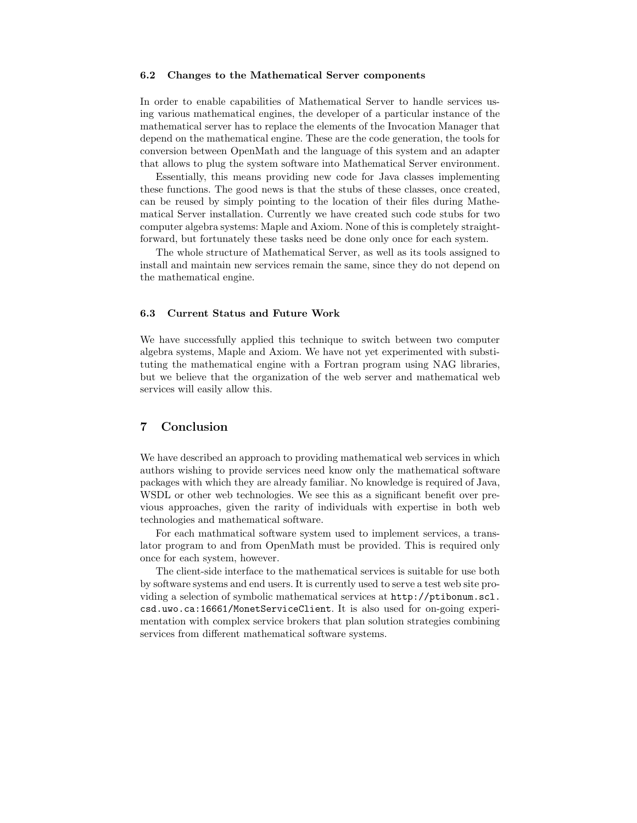#### **6.2 Changes to the Mathematical Server components**

In order to enable capabilities of Mathematical Server to handle services using various mathematical engines, the developer of a particular instance of the mathematical server has to replace the elements of the Invocation Manager that depend on the mathematical engine. These are the code generation, the tools for conversion between OpenMath and the language of this system and an adapter that allows to plug the system software into Mathematical Server environment.

Essentially, this means providing new code for Java classes implementing these functions. The good news is that the stubs of these classes, once created, can be reused by simply pointing to the location of their files during Mathematical Server installation. Currently we have created such code stubs for two computer algebra systems: Maple and Axiom. None of this is completely straightforward, but fortunately these tasks need be done only once for each system.

The whole structure of Mathematical Server, as well as its tools assigned to install and maintain new services remain the same, since they do not depend on the mathematical engine.

## **6.3 Current Status and Future Work**

We have successfully applied this technique to switch between two computer algebra systems, Maple and Axiom. We have not yet experimented with substituting the mathematical engine with a Fortran program using NAG libraries, but we believe that the organization of the web server and mathematical web services will easily allow this.

## **7 Conclusion**

We have described an approach to providing mathematical web services in which authors wishing to provide services need know only the mathematical software packages with which they are already familiar. No knowledge is required of Java, WSDL or other web technologies. We see this as a significant benefit over previous approaches, given the rarity of individuals with expertise in both web technologies and mathematical software.

For each mathmatical software system used to implement services, a translator program to and from OpenMath must be provided. This is required only once for each system, however.

The client-side interface to the mathematical services is suitable for use both by software systems and end users. It is currently used to serve a test web site providing a selection of symbolic mathematical services at http://ptibonum.scl. csd.uwo.ca:16661/MonetServiceClient. It is also used for on-going experimentation with complex service brokers that plan solution strategies combining services from different mathematical software systems.